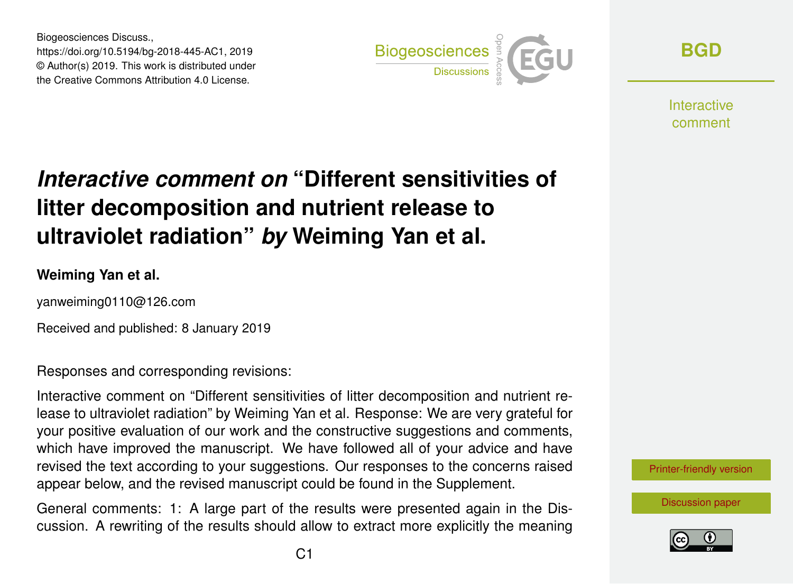Biogeosciences Discuss., https://doi.org/10.5194/bg-2018-445-AC1, 2019 © Author(s) 2019. This work is distributed under the Creative Commons Attribution 4.0 License.



**[BGD](https://www.biogeosciences-discuss.net/)**

**Interactive** comment

# *Interactive comment on* **"Different sensitivities of litter decomposition and nutrient release to ultraviolet radiation"** *by* **Weiming Yan et al.**

#### **Weiming Yan et al.**

yanweiming0110@126.com

Received and published: 8 January 2019

Responses and corresponding revisions:

Interactive comment on "Different sensitivities of litter decomposition and nutrient release to ultraviolet radiation" by Weiming Yan et al. Response: We are very grateful for your positive evaluation of our work and the constructive suggestions and comments, which have improved the manuscript. We have followed all of your advice and have revised the text according to your suggestions. Our responses to the concerns raised appear below, and the revised manuscript could be found in the Supplement.

General comments: 1: A large part of the results were presented again in the Discussion. A rewriting of the results should allow to extract more explicitly the meaning



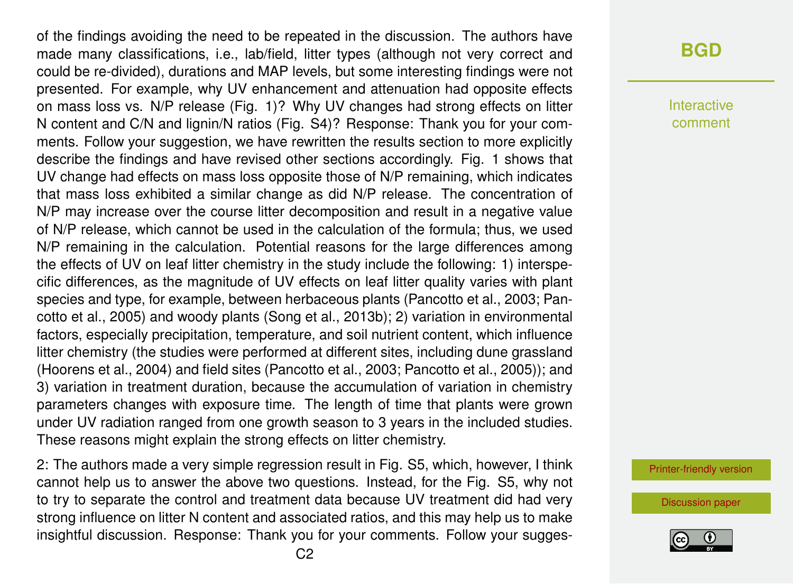of the findings avoiding the need to be repeated in the discussion. The authors have made many classifications, i.e., lab/field, litter types (although not very correct and could be re-divided), durations and MAP levels, but some interesting findings were not presented. For example, why UV enhancement and attenuation had opposite effects on mass loss vs. N/P release (Fig. 1)? Why UV changes had strong effects on litter N content and C/N and lignin/N ratios (Fig. S4)? Response: Thank you for your comments. Follow your suggestion, we have rewritten the results section to more explicitly describe the findings and have revised other sections accordingly. Fig. 1 shows that UV change had effects on mass loss opposite those of N/P remaining, which indicates that mass loss exhibited a similar change as did N/P release. The concentration of N/P may increase over the course litter decomposition and result in a negative value of N/P release, which cannot be used in the calculation of the formula; thus, we used N/P remaining in the calculation. Potential reasons for the large differences among the effects of UV on leaf litter chemistry in the study include the following: 1) interspecific differences, as the magnitude of UV effects on leaf litter quality varies with plant species and type, for example, between herbaceous plants (Pancotto et al., 2003; Pancotto et al., 2005) and woody plants (Song et al., 2013b); 2) variation in environmental factors, especially precipitation, temperature, and soil nutrient content, which influence litter chemistry (the studies were performed at different sites, including dune grassland (Hoorens et al., 2004) and field sites (Pancotto et al., 2003; Pancotto et al., 2005)); and 3) variation in treatment duration, because the accumulation of variation in chemistry parameters changes with exposure time. The length of time that plants were grown under UV radiation ranged from one growth season to 3 years in the included studies. These reasons might explain the strong effects on litter chemistry.

2: The authors made a very simple regression result in Fig. S5, which, however, I think cannot help us to answer the above two questions. Instead, for the Fig. S5, why not to try to separate the control and treatment data because UV treatment did had very strong influence on litter N content and associated ratios, and this may help us to make insightful discussion. Response: Thank you for your comments. Follow your sugges-

#### **[BGD](https://www.biogeosciences-discuss.net/)**

Interactive comment

[Printer-friendly version](https://www.biogeosciences-discuss.net/bg-2018-445/bg-2018-445-AC1-print.pdf)

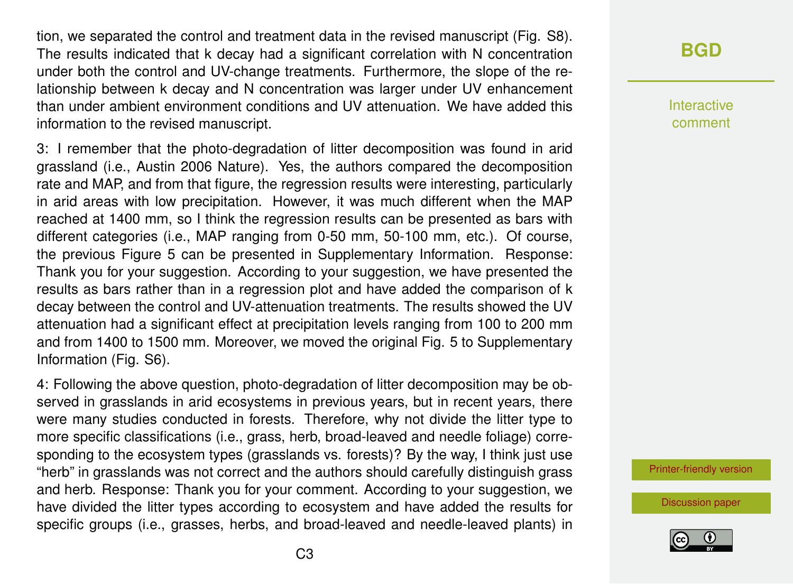tion, we separated the control and treatment data in the revised manuscript (Fig. S8). The results indicated that k decay had a significant correlation with N concentration under both the control and UV-change treatments. Furthermore, the slope of the relationship between k decay and N concentration was larger under UV enhancement than under ambient environment conditions and UV attenuation. We have added this information to the revised manuscript.

3: I remember that the photo-degradation of litter decomposition was found in arid grassland (i.e., Austin 2006 Nature). Yes, the authors compared the decomposition rate and MAP, and from that figure, the regression results were interesting, particularly in arid areas with low precipitation. However, it was much different when the MAP reached at 1400 mm, so I think the regression results can be presented as bars with different categories (i.e., MAP ranging from 0-50 mm, 50-100 mm, etc.). Of course, the previous Figure 5 can be presented in Supplementary Information. Response: Thank you for your suggestion. According to your suggestion, we have presented the results as bars rather than in a regression plot and have added the comparison of k decay between the control and UV-attenuation treatments. The results showed the UV attenuation had a significant effect at precipitation levels ranging from 100 to 200 mm and from 1400 to 1500 mm. Moreover, we moved the original Fig. 5 to Supplementary Information (Fig. S6).

4: Following the above question, photo-degradation of litter decomposition may be observed in grasslands in arid ecosystems in previous years, but in recent years, there were many studies conducted in forests. Therefore, why not divide the litter type to more specific classifications (i.e., grass, herb, broad-leaved and needle foliage) corresponding to the ecosystem types (grasslands vs. forests)? By the way, I think just use "herb" in grasslands was not correct and the authors should carefully distinguish grass and herb. Response: Thank you for your comment. According to your suggestion, we have divided the litter types according to ecosystem and have added the results for specific groups (i.e., grasses, herbs, and broad-leaved and needle-leaved plants) in

## **[BGD](https://www.biogeosciences-discuss.net/)**

Interactive comment

[Printer-friendly version](https://www.biogeosciences-discuss.net/bg-2018-445/bg-2018-445-AC1-print.pdf)

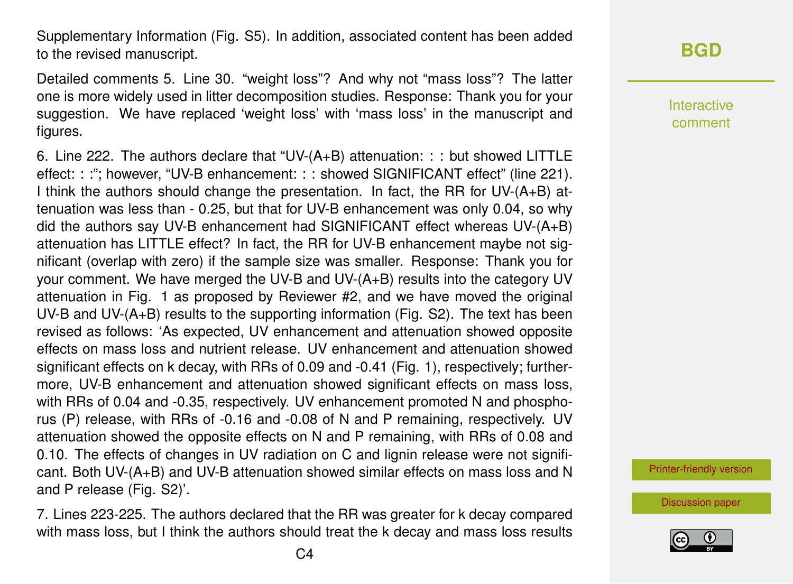Supplementary Information (Fig. S5). In addition, associated content has been added to the revised manuscript.

Detailed comments 5. Line 30. "weight loss"? And why not "mass loss"? The latter one is more widely used in litter decomposition studies. Response: Thank you for your suggestion. We have replaced 'weight loss' with 'mass loss' in the manuscript and figures.

6. Line 222. The authors declare that "UV-(A+B) attenuation: : : but showed LITTLE effect: : :"; however, "UV-B enhancement: : : showed SIGNIFICANT effect" (line 221). I think the authors should change the presentation. In fact, the RR for UV-(A+B) attenuation was less than - 0.25, but that for UV-B enhancement was only 0.04, so why did the authors say UV-B enhancement had SIGNIFICANT effect whereas UV-(A+B) attenuation has LITTLE effect? In fact, the RR for UV-B enhancement maybe not significant (overlap with zero) if the sample size was smaller. Response: Thank you for your comment. We have merged the UV-B and UV-(A+B) results into the category UV attenuation in Fig. 1 as proposed by Reviewer #2, and we have moved the original UV-B and UV-(A+B) results to the supporting information (Fig. S2). The text has been revised as follows: 'As expected, UV enhancement and attenuation showed opposite effects on mass loss and nutrient release. UV enhancement and attenuation showed significant effects on k decay, with RRs of 0.09 and -0.41 (Fig. 1), respectively; furthermore, UV-B enhancement and attenuation showed significant effects on mass loss, with RRs of 0.04 and -0.35, respectively. UV enhancement promoted N and phosphorus (P) release, with RRs of -0.16 and -0.08 of N and P remaining, respectively. UV attenuation showed the opposite effects on N and P remaining, with RRs of 0.08 and 0.10. The effects of changes in UV radiation on C and lignin release were not significant. Both UV-(A+B) and UV-B attenuation showed similar effects on mass loss and N and P release (Fig. S2)'.

7. Lines 223-225. The authors declared that the RR was greater for k decay compared with mass loss, but I think the authors should treat the k decay and mass loss results

#### **[BGD](https://www.biogeosciences-discuss.net/)**

Interactive comment

[Printer-friendly version](https://www.biogeosciences-discuss.net/bg-2018-445/bg-2018-445-AC1-print.pdf)

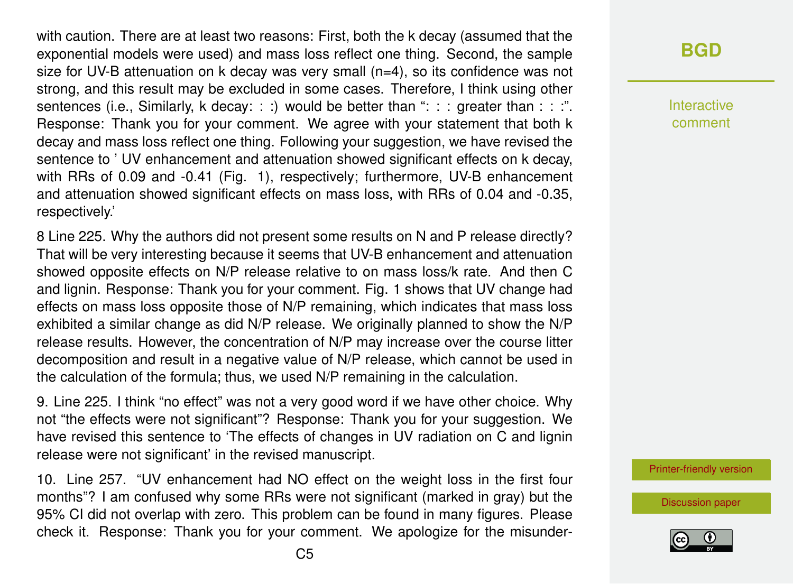with caution. There are at least two reasons: First, both the k decay (assumed that the exponential models were used) and mass loss reflect one thing. Second, the sample size for UV-B attenuation on k decay was very small (n=4), so its confidence was not strong, and this result may be excluded in some cases. Therefore, I think using other sentences (i.e., Similarly, k decay: : :) would be better than ": : : greater than : : :". Response: Thank you for your comment. We agree with your statement that both k decay and mass loss reflect one thing. Following your suggestion, we have revised the sentence to ' UV enhancement and attenuation showed significant effects on k decay, with RRs of 0.09 and -0.41 (Fig. 1), respectively; furthermore, UV-B enhancement and attenuation showed significant effects on mass loss, with RRs of 0.04 and -0.35, respectively.'

8 Line 225. Why the authors did not present some results on N and P release directly? That will be very interesting because it seems that UV-B enhancement and attenuation showed opposite effects on N/P release relative to on mass loss/k rate. And then C and lignin. Response: Thank you for your comment. Fig. 1 shows that UV change had effects on mass loss opposite those of N/P remaining, which indicates that mass loss exhibited a similar change as did N/P release. We originally planned to show the N/P release results. However, the concentration of N/P may increase over the course litter decomposition and result in a negative value of N/P release, which cannot be used in the calculation of the formula; thus, we used N/P remaining in the calculation.

9. Line 225. I think "no effect" was not a very good word if we have other choice. Why not "the effects were not significant"? Response: Thank you for your suggestion. We have revised this sentence to 'The effects of changes in UV radiation on C and lignin release were not significant' in the revised manuscript.

10. Line 257. "UV enhancement had NO effect on the weight loss in the first four months"? I am confused why some RRs were not significant (marked in gray) but the 95% CI did not overlap with zero. This problem can be found in many figures. Please check it. Response: Thank you for your comment. We apologize for the misunder-

#### **[BGD](https://www.biogeosciences-discuss.net/)**

Interactive comment

[Printer-friendly version](https://www.biogeosciences-discuss.net/bg-2018-445/bg-2018-445-AC1-print.pdf)

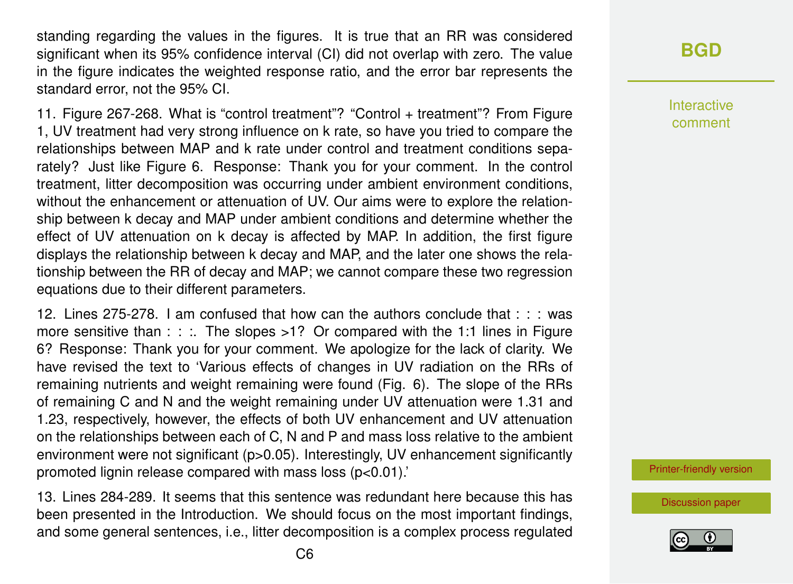standing regarding the values in the figures. It is true that an RR was considered significant when its 95% confidence interval (CI) did not overlap with zero. The value in the figure indicates the weighted response ratio, and the error bar represents the standard error, not the 95% CI.

11. Figure 267-268. What is "control treatment"? "Control + treatment"? From Figure 1, UV treatment had very strong influence on k rate, so have you tried to compare the relationships between MAP and k rate under control and treatment conditions separately? Just like Figure 6. Response: Thank you for your comment. In the control treatment, litter decomposition was occurring under ambient environment conditions, without the enhancement or attenuation of UV. Our aims were to explore the relationship between k decay and MAP under ambient conditions and determine whether the effect of UV attenuation on k decay is affected by MAP. In addition, the first figure displays the relationship between k decay and MAP, and the later one shows the relationship between the RR of decay and MAP; we cannot compare these two regression equations due to their different parameters.

12. Lines 275-278. I am confused that how can the authors conclude that : : : was more sensitive than : : :. The slopes >1? Or compared with the 1:1 lines in Figure 6? Response: Thank you for your comment. We apologize for the lack of clarity. We have revised the text to 'Various effects of changes in UV radiation on the RRs of remaining nutrients and weight remaining were found (Fig. 6). The slope of the RRs of remaining C and N and the weight remaining under UV attenuation were 1.31 and 1.23, respectively, however, the effects of both UV enhancement and UV attenuation on the relationships between each of C, N and P and mass loss relative to the ambient environment were not significant (p>0.05). Interestingly, UV enhancement significantly promoted lignin release compared with mass loss (p<0.01).'

13. Lines 284-289. It seems that this sentence was redundant here because this has been presented in the Introduction. We should focus on the most important findings, and some general sentences, i.e., litter decomposition is a complex process regulated

#### **[BGD](https://www.biogeosciences-discuss.net/)**

Interactive comment

[Printer-friendly version](https://www.biogeosciences-discuss.net/bg-2018-445/bg-2018-445-AC1-print.pdf)

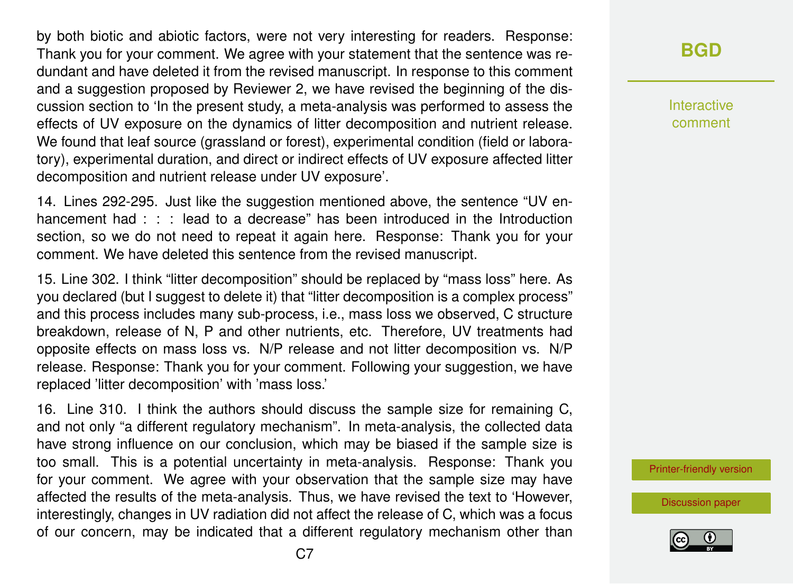by both biotic and abiotic factors, were not very interesting for readers. Response: Thank you for your comment. We agree with your statement that the sentence was redundant and have deleted it from the revised manuscript. In response to this comment and a suggestion proposed by Reviewer 2, we have revised the beginning of the discussion section to 'In the present study, a meta-analysis was performed to assess the effects of UV exposure on the dynamics of litter decomposition and nutrient release. We found that leaf source (grassland or forest), experimental condition (field or laboratory), experimental duration, and direct or indirect effects of UV exposure affected litter decomposition and nutrient release under UV exposure'.

14. Lines 292-295. Just like the suggestion mentioned above, the sentence "UV enhancement had : : : lead to a decrease" has been introduced in the Introduction section, so we do not need to repeat it again here. Response: Thank you for your comment. We have deleted this sentence from the revised manuscript.

15. Line 302. I think "litter decomposition" should be replaced by "mass loss" here. As you declared (but I suggest to delete it) that "litter decomposition is a complex process" and this process includes many sub-process, i.e., mass loss we observed, C structure breakdown, release of N, P and other nutrients, etc. Therefore, UV treatments had opposite effects on mass loss vs. N/P release and not litter decomposition vs. N/P release. Response: Thank you for your comment. Following your suggestion, we have replaced 'litter decomposition' with 'mass loss.'

16. Line 310. I think the authors should discuss the sample size for remaining C, and not only "a different regulatory mechanism". In meta-analysis, the collected data have strong influence on our conclusion, which may be biased if the sample size is too small. This is a potential uncertainty in meta-analysis. Response: Thank you for your comment. We agree with your observation that the sample size may have affected the results of the meta-analysis. Thus, we have revised the text to 'However, interestingly, changes in UV radiation did not affect the release of C, which was a focus of our concern, may be indicated that a different regulatory mechanism other than

#### **[BGD](https://www.biogeosciences-discuss.net/)**

Interactive comment

[Printer-friendly version](https://www.biogeosciences-discuss.net/bg-2018-445/bg-2018-445-AC1-print.pdf)